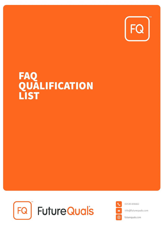

# FAQ<br>QUALIFICATION<br>LIST





01530 836662

info@futurequals.com

futurequals.com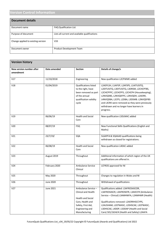# **Version Control Information**

| <b>Document details</b>            |                                                |
|------------------------------------|------------------------------------------------|
| Document name                      | <b>FAQ Qualification List</b>                  |
| Purpose of document                | Lists all current and available qualifications |
| Change applied to existing version | V <sub>33</sub>                                |
| Document owner                     | <b>Product Development Team</b>                |

| <b>Version history</b>                       |               |                                                                                                                                                      |                                                                                                                                                                                                                                                                                                                                        |
|----------------------------------------------|---------------|------------------------------------------------------------------------------------------------------------------------------------------------------|----------------------------------------------------------------------------------------------------------------------------------------------------------------------------------------------------------------------------------------------------------------------------------------------------------------------------------------|
| <b>New version number after</b><br>amendment | Date amended  | <b>Section</b>                                                                                                                                       | Details of change/s                                                                                                                                                                                                                                                                                                                    |
| V17                                          | 11/10/2018    | Engineering                                                                                                                                          | New qualification L2CPWME added                                                                                                                                                                                                                                                                                                        |
| V18                                          | 01/04/2019    | <b>Qualifications listed</b><br>to the right, have<br>been removed as part<br>of the annual<br>qualification validity<br>cycle                       | L2AEPLSH, L1AIFSP, L2AFSPS, L1AITUSITQ,<br>L2DITUSITQ, L3DITUSITQ, L3DRSM, L2CHCPFBS,<br>L2CHCPFPC, L2CHCPFS, L2CHCPH (Housekeeping),<br>L2NVQDBS, L2NVQDFPC, L2NVQDH, L2AERR,<br>L4NVQDBA, L2CPS, L2DBA, L3DSMB. L2NVQDFBS<br>and L3CRK were removed as they were previously<br>withdrawn and no longer have learners in<br>progress. |
| V19                                          | 06/06/19      | <b>Health and Social</b><br>Care                                                                                                                     | New qualification L5DLMAC added                                                                                                                                                                                                                                                                                                        |
| V20                                          | 08/07/19      | <b>FSQ</b>                                                                                                                                           | New Functional Skills Qualifications (English and<br>Maths)                                                                                                                                                                                                                                                                            |
| V21                                          | 23/7/19/      | SQA                                                                                                                                                  | SL6APFA & SQAAAD qualifications being<br>withdrawn so closed for registrations.                                                                                                                                                                                                                                                        |
| V <sub>22</sub>                              | 06/08/19      | <b>Health and Social</b><br>Care                                                                                                                     | New qualification L4DAC added                                                                                                                                                                                                                                                                                                          |
| V <sub>23</sub>                              | August 2019   | Throughout                                                                                                                                           | Additional information of which region of the UK<br>qualifications are offered in.                                                                                                                                                                                                                                                     |
| V24                                          | February 2020 | Ambulance Service<br>Clinical                                                                                                                        | <b>LCFROS approved for NI</b>                                                                                                                                                                                                                                                                                                          |
| V25                                          | May 2020      | Throughout                                                                                                                                           | Changes to regulation in Wales and NI                                                                                                                                                                                                                                                                                                  |
| V26                                          | June 2020     | Throughout                                                                                                                                           | Withdrawal of qualifications                                                                                                                                                                                                                                                                                                           |
| V <sub>27</sub>                              | June 2021     | Ambulance Service -<br><b>Clinical and Health</b><br>Health and Social<br>Care, Health and<br>Safety, First Aid,<br>Engineering and<br>Manufacturing | Qualifications added: L3AFROSASCOR,<br>L3AFROSASCR, L3AFROSEFR, L3AIECFR (Ambulance<br>Service - Clinical) L3AMHWFA, L2AMHWR (Health)<br>Qualifications removed: L2AERRHSCCYPS,<br>L2AUSHAM, L2CPWASC, L2DHSCAE, L3CPWASC,<br>L3DHSCAE, L4DDP, L5DDAP (Health and Social<br>Care) 501/1634/4 (Health and Safety) L2AAFA                |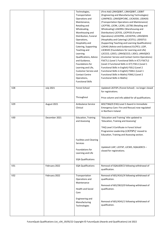|                 |                  | Technologies,                  | (First Aid) L2NVQDBIT, L3NVQDBIT, L3DBIT            |
|-----------------|------------------|--------------------------------|-----------------------------------------------------|
|                 |                  | Transportation                 | (Engineering and Manufacturing Technologies)        |
|                 |                  | Operations and                 | L2AKPBCD, L2NVQDPCVBC, L3CAOGK, L3DAOG              |
|                 |                  | Maintenance,                   | (Transportation Operations and Maintenance)         |
|                 |                  | Retailing and                  | L2CPTBS, L2CRK, L2CRS, L2CTBS (Retailing and        |
|                 |                  | Wholesaling,                   | Wholesaling) L2AERRLI (Warehousing and              |
|                 |                  | Warehousing and                | Distribution) L2CFOS, L2CPFOS (Funeral              |
|                 |                  | Distribution, Funeral          | Operations) L2CHCPBS, L2CHCPHS, L2NVQDHS            |
|                 |                  | Operations,                    | (Hospitality and Catering) L2CSTLS, L3DSSTLS        |
|                 |                  | Hospitality and                | (Supporting Teaching and Learning Qualifications)   |
|                 |                  | Catering, Supporting           | L2AIAG (Advice and Guidance) ELCPE3, L1DP,          |
|                 |                  | Teaching and                   | L3CBSHE (Foundations for Learning and Life)         |
|                 |                  | Learning                       | L2CCCO, L2DCS, L2NVQCCCO, L3DCS, L4NVQDCS           |
|                 |                  | Qualifications, Advice         | (Customer Service and Contact Centre Operations)    |
|                 |                  | and Guidance,                  | FSICTL1 (Level 1 Functional Skills in ICT) FSICTL2  |
|                 |                  | Foundations for                | (Level 2 Functional Skills in ICT) FSEL1 (Level 1   |
|                 |                  | Learning and Life,             | Functional Skills in English) FSEL2 (Level 2        |
|                 |                  | Customer Service and           | Functional Skills in English) FSML1 (Level 1        |
|                 |                  | <b>Contact Centre</b>          | Functional Skills in Maths) FSML2 (Level 2          |
|                 |                  | Operations,                    | <b>Functional Skills in Maths)</b>                  |
|                 |                  | <b>Functional Skills</b>       |                                                     |
| V <sub>28</sub> | <b>July 2021</b> | <b>Forest School</b>           | Updated L3CFSPL (Forest School) - no longer closed  |
|                 |                  |                                | for registrations.                                  |
|                 |                  |                                |                                                     |
|                 |                  | Throughout                     | Price column and info added for all qualifications. |
|                 |                  |                                |                                                     |
| V29             | August 2021      | Ambulance Service              | 603/7366/0 (FAQ Level 3 Award in Immediate          |
|                 |                  | Clinical                       | Emergency Care: Fire and Rescue) now regulated      |
|                 |                  |                                | in Northern Ireland                                 |
| V30             | December 2021    | <b>Education, Training</b>     | 'Education and Training' title updated to           |
|                 |                  | and Assessing                  | 'Education, Training and Assessing'                 |
|                 |                  |                                |                                                     |
|                 |                  |                                | 'FAQ Level 3 Certificate in Forest School           |
|                 |                  |                                | Programme Leadership (L3CFSPL)' moved to            |
|                 |                  |                                | Education, Training and Assessing section.          |
|                 |                  |                                |                                                     |
|                 |                  | <b>Facilities and Cleaning</b> |                                                     |
|                 |                  | <b>Services</b>                |                                                     |
|                 |                  | Foundations for                | Updated L1AP, L2CFSP, L2CWS, SQAL6DECS -            |
|                 |                  | Learning and Life              | closed for registrations.                           |
|                 |                  |                                |                                                     |
|                 |                  | <b>SQA Qualifications</b>      |                                                     |
|                 |                  |                                |                                                     |
| V31             | February 2022    | <b>SQA Qualifications</b>      | Removal of SQAL6DECS following withdrawal of        |
|                 |                  |                                | qualification.                                      |
| V <sub>32</sub> | February 2022    | Transportation                 | Removal of 601/4161/X following withdrawal of       |
|                 |                  | Operations and                 | qualification.                                      |
|                 |                  | Maintenance                    |                                                     |
|                 |                  |                                | Removal of 601/5822/0 following withdrawal of       |
|                 |                  | <b>Health and Social</b>       | qualification.                                      |
|                 |                  | Care                           |                                                     |
|                 |                  |                                |                                                     |
|                 |                  | Engineering and                |                                                     |
|                 |                  | Manufacturing                  | Removal of 601/4341/1 following withdrawal of       |
|                 |                  |                                |                                                     |
|                 |                  | Technologies                   | qualification.                                      |
|                 |                  |                                |                                                     |
|                 |                  |                                |                                                     |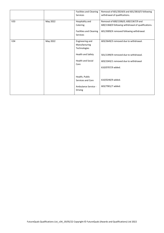|          | <b>Facilities and Cleaning</b> | Removal of 601/3024/6 and 601/3810/5 following                                            |
|----------|--------------------------------|-------------------------------------------------------------------------------------------|
|          | <b>Services</b>                | withdrawal of qualifications.                                                             |
|          |                                |                                                                                           |
| May 2022 | Hospitality and                | Removal of 600/1306/0, 600/1367/9 and                                                     |
|          | Catering                       | 600/1368/0 following withdrawal of qualifications.                                        |
|          |                                |                                                                                           |
|          | <b>Facilities and Cleaning</b> | 601/3009/X removed following withdrawal.                                                  |
|          | <b>Services</b>                |                                                                                           |
|          |                                |                                                                                           |
| May 2022 | Engineering and                | 603/3649/3 removed due to withdrawal.                                                     |
|          | Manufacturing                  |                                                                                           |
|          | Technologies                   |                                                                                           |
|          |                                |                                                                                           |
|          | <b>Health and Safety</b>       | 501/1399/9 removed due to withdrawal.                                                     |
|          |                                |                                                                                           |
|          |                                | 603/1043/1 removed due to withdrawal                                                      |
|          |                                |                                                                                           |
|          |                                | 610/0707/9 added.                                                                         |
|          |                                |                                                                                           |
|          |                                |                                                                                           |
|          |                                | 610/0240/9 added.                                                                         |
|          |                                |                                                                                           |
|          | Ambulance Service -            | 603/7901/7 added.                                                                         |
|          |                                |                                                                                           |
|          |                                |                                                                                           |
|          |                                | <b>Health and Social</b><br>Care<br>Health, Public<br>Services and Care<br><b>Driving</b> |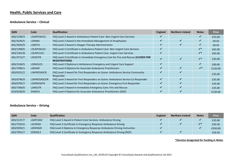# **Health, Public Services and Care**

#### **Ambulance Service – Clinical**

| <b>QAN</b> | Code             | Qualification                                                                                                | <b>England</b> | <b>Northern Ireland</b> | <b>Wales</b>   | <b>Price</b> |
|------------|------------------|--------------------------------------------------------------------------------------------------------------|----------------|-------------------------|----------------|--------------|
| 603/1299/3 | L3AAPCNUCS       | FAQ Level 3 Award in Ambulance Patient Care: Non-Urgent Care Services                                        |                |                         |                | £55.00       |
| 601/4245/5 | L3AIMA           | FAQ Level 3 Award in the Immediate Management of Anaphylaxis                                                 |                |                         |                | £8.50        |
| 601/3924/9 | L3AOTA           | FAQ Level 3 Award in Oxygen Therapy Administration                                                           |                |                         | ✔              | £8.50        |
| 603/1300/6 | L3CAPCNUCS       | FAQ Level 3 Certificate in Ambulance Patient Care: Non-Urgent Care Services                                  |                |                         | $\checkmark^*$ | £65.00       |
| 603/1301/8 | <b>L3CAPCUCS</b> | FAQ Level 3 Certificate in Ambulance Patient Care: Urgent Care Services                                      |                |                         | $\checkmark^*$ | £65.00       |
| 601/3713/7 | <b>L3CIECFR</b>  | FAQ Level 3 Certificate in Immediate Emergency Care for Fire and Rescue (CLOSED FOR<br><b>REGISTRATIONS)</b> |                |                         | $\checkmark^*$ | £35.00       |
| 603/2146/5 | L3DAEUCS         | FAQ Level 3 Diploma in Ambulance Emergency and Urgent Care Support                                           |                |                         | ✔              | £90.00       |
| 601/7496/1 | L4DAAP           | FAQ Level 4 Diploma for Associate Ambulance Practitioners                                                    |                |                         | $\checkmark^*$ | £120.00      |
| 603/6252/2 | L3AFROSASCR      | FAQ Level 3 Award for First Responders on Scene: Ambulance Service Community<br>Responder                    |                |                         |                | £35.00       |
| 603/6796/9 | L3AFROSASCOR     | FAQ Level 3 Award for First Responders on Scene: Ambulance Service Co-Responder                              | ✔              | ✔                       |                | £35.00       |
| 603/6795/7 | L3AFROSEFR       | FAQ Level 3 Award for First Responders on Scene: Emergency First Responder                                   |                |                         |                | £35.00       |
| 603/7366/0 | <b>L3AIECFR</b>  | FAQ Level 3 Award in Immediate Emergency Care: Fire and Rescue                                               |                |                         |                | £35.00       |
| 610/0240/9 | DAAPL4           | FAQ Level 4 Diploma for Associate Ambulance Practitioners (RQF)                                              |                |                         |                | £120.00      |

#### **Ambulance Service – Driving**

| <b>QAN</b> | Code     | <b>Qualification</b>                                                    | <b>England</b> | <b>Northern Ireland</b> | <b>Wales</b> | <b>Price</b> |
|------------|----------|-------------------------------------------------------------------------|----------------|-------------------------|--------------|--------------|
| 603/2147/7 | L3APCSAD | FAQ Level 3 Award in Patient Care Services: Ambulance Driving           |                |                         |              | £35.00       |
| 601/7335/X | L3CERAD  | FAQ Level 3 Certificate in Emergency Response Ambulance Driving         |                |                         | $\sqrt{*}$   | £59.50       |
| 603/0393/1 | L4DERADI | FAQ Level 4 Diploma in Emergency Response Ambulance Driving Instruction |                |                         |              | £350.00      |
| 603/7901/7 | CERADL3  | FAQ Level 3 Certificate in Emergency Response Ambulance Driving (RQF)   |                |                         |              | £59.50       |

#### **\*Denotes designated for funding in Wales**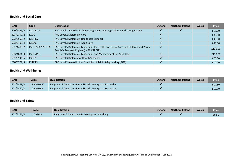#### **Health and Social Care**

| <b>QAN</b> | Code                          | <b>Qualification</b>                                                                                                            | <b>England</b> | <b>Northern Ireland</b> | <b>Wales</b> | <b>Price</b> |
|------------|-------------------------------|---------------------------------------------------------------------------------------------------------------------------------|----------------|-------------------------|--------------|--------------|
| 600/6825/5 | L2ASPCYP                      | FAQ Level 2 Award in Safeguarding and Protecting Children and Young People                                                      |                |                         |              | £10.00       |
| 603/2797/2 | L <sub>2</sub> D <sub>C</sub> | FAQ Level 2 Diploma in Care                                                                                                     |                |                         |              | £85.00       |
| 603/2556/2 | L3DHCS                        | FAQ Level 3 Diploma in Healthcare Support                                                                                       |                |                         |              | £95.00       |
| 603/2798/4 | L3DAC                         | FAQ Level 3 Diploma in Adult Care                                                                                               |                |                         |              | £95.00       |
| 601/4400/2 | L5DLHSCCYPSE-HA               | FAQ Level 5 Diploma in Leadership for Health and Social Care and Children and Young<br>People's Services (England) - 90 CREDITS | ✔              |                         |              | £130.00      |
| 603/4684/X | L5DLMAC                       | FAQ Level 5 Diploma in Leadership and Management for Adult Care                                                                 |                |                         |              | £130.00      |
| 601/8546/6 | L3DHS                         | FAQ Level 3 Diploma for Health Screeners                                                                                        | ✔              |                         |              | £75.00       |
| 610/0707/9 | <b>L2APAS</b>                 | FAQ Level 2 Award in the Principles of Adult Safeguarding (RQF)                                                                 |                |                         |              | £12.00       |

## **Health and Well-being**

| <b>QAN</b> | Code           | Qualification                                             | <b>England</b> | <b>Northern Ireland</b> | <b>Wales</b> | <b>Price</b> |
|------------|----------------|-----------------------------------------------------------|----------------|-------------------------|--------------|--------------|
| 603/7368/4 | L3AMHWFA       | FAQ Level 3 Award in Mental Health: Workplace First Aider |                |                         |              | £17.50       |
| 603/7367/2 | <b>L2AMHWR</b> | FAQ Level 2 Award in Mental Health: Workplace Responder   |                |                         |              | £12.50       |

#### **Health and Safety**

| <b>QAN</b> | Code   | <b>Qualification</b>                                 | <b>England</b> | <b>Northern Ireland</b> | <b>Wales</b> | <b>Price</b> |
|------------|--------|------------------------------------------------------|----------------|-------------------------|--------------|--------------|
| 501/2265/4 | .2ASMH | <b>FAQ Level 2 Award in Safe Moving and Handling</b> |                |                         |              | £6.50        |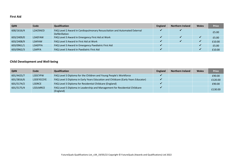#### **First Aid**

| <b>QAN</b> | Code     | <b>Qualification</b>                                                                        | <b>England</b> | <b>Northern Ireland</b> | <b>Wales</b> | <b>Price</b> |
|------------|----------|---------------------------------------------------------------------------------------------|----------------|-------------------------|--------------|--------------|
| 600/1616/4 | L2ACRAED | FAQ Level 2 Award in Cardiopulmonary Resuscitation and Automated External<br>Defibrillation |                |                         |              | £5.00        |
| 603/2409/0 | L3AEFAW  | FAQ Level 3 Award in Emergency First Aid at Work                                            |                |                         |              | £5.00        |
| 603/2408/9 | L3AFAW   | FAQ Level 3 Award in First Aid at Work                                                      |                |                         |              | £10.00       |
| 603/0961/1 | L3AEPFA  | FAQ Level 3 Award in Emergency Paediatric First Aid                                         |                |                         |              | £5.00        |
| 603/0962/3 | L3APFA   | FAQ Level 3 Award in Paediatric First Aid                                                   |                |                         |              | £10.00       |

## **Child Development and Well-being**

| <b>QAN</b> | Code       | <b>Qualification</b>                                                                    | <b>England</b> | <b>Northern Ireland</b> | <b>Wales</b> | <b>Price</b> |
|------------|------------|-----------------------------------------------------------------------------------------|----------------|-------------------------|--------------|--------------|
| 601/4425/7 | L3DCYPW    | FAQ Level 3 Diploma for the Children and Young People's Workforce                       |                |                         |              | £90.00       |
| 601/3816/6 | L3DEYECEYE | FAQ Level 3 Diploma in Early Years Education and Childcare (Early Years Educator)       |                |                         |              | £120.00      |
| 601/5174/2 | L3DRCE     | FAQ Level 3 Diploma for Residential Childcare (England)                                 |                |                         |              | £90.00       |
| 601/5175/4 | L5DLMRCE   | FAQ Level 5 Diploma in Leadership and Management for Residential Childcare<br>(England) |                |                         |              | £130.00      |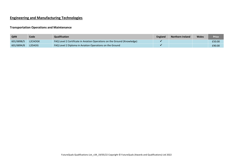# **Engineering and Manufacturing Technologies**

#### **Transportation Operations and Maintenance**

| QAN        | <b>Code</b> | Qualification                                                            | <b>England</b> | <b>Northern Ireland</b> | <b>Wales</b> | <b>Price</b> |
|------------|-------------|--------------------------------------------------------------------------|----------------|-------------------------|--------------|--------------|
| 601/6898/5 | L2CAOGK     | FAQ Level 2 Certificate in Aviation Operations on the Ground (Knowledge) |                |                         |              | £50.00       |
| 601/6894/8 | L2DAOG      | FAQ Level 2 Diploma in Aviation Operations on the Ground                 |                |                         |              | £90.00       |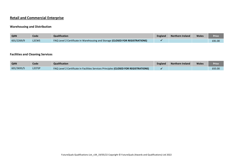# **Retail and Commercial Enterprise**

#### **Warehousing and Distribution**

| QAN        | Code               | <b>Qualification</b>                                                          | <b>England</b> | <b>Northern Ireland</b> | <b>Wales</b> | Price  |
|------------|--------------------|-------------------------------------------------------------------------------|----------------|-------------------------|--------------|--------|
| 601/2269/9 | L <sub>2</sub> CWS | FAQ Level 2 Certificate in Warehousing and Storage (CLOSED FOR REGISTRATIONS) |                |                         |              | £81.00 |

## **Facilities and Cleaning Services**

| QAN        | Code                | <b>Qualification</b>                                                                        | England | <b>Northern Ireland</b> | <b>Wales</b> | Price  |
|------------|---------------------|---------------------------------------------------------------------------------------------|---------|-------------------------|--------------|--------|
| 601/3693/5 | L <sub>2</sub> CFSP | <b>FAQ Level 2 Certificate in Facilities Services Principles (CLOSED FOR REGISTRATIONS)</b> |         |                         |              | £65.00 |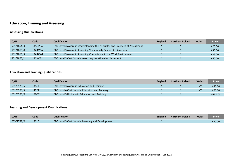# **Education, Training and Assessing**

## **Assessing Qualifications**

| <b>QAN</b> | Code    | <b>Qualification</b>                                                          | <b>England</b> | <b>Northern Ireland</b> | Wales | <b>Price</b> |
|------------|---------|-------------------------------------------------------------------------------|----------------|-------------------------|-------|--------------|
| 501/1864/X | L3AUPPA | FAQ Level 3 Award in Understanding the Principles and Practices of Assessment |                |                         |       | £20.00       |
| 501/1863/8 | L3AAVRA | FAQ Level 3 Award in Assessing Vocationally Related Achievement               |                |                         |       | £35.00       |
| 501/1866/3 | L3AACWE | FAQ Level 3 Award in Assessing Competence in the Work Environment             |                |                         |       | £35.00       |
| 501/1865/1 | L3CAVA  | FAQ Level 3 Certificate in Assessing Vocational Achievement                   |                |                         |       | £60.00       |

#### **Education and Training Qualifications**

| <b>QAN</b> | Code         | Qualification                                     | <b>England</b> | <b>Northern Ireland</b> | <b>Wales</b>           | <b>Price</b> |
|------------|--------------|---------------------------------------------------|----------------|-------------------------|------------------------|--------------|
| 601/0129/5 | L3AET        | FAQ Level 3 Award in Education and Training       |                |                         | $\mathcal{L}^{\prime}$ | £40.00       |
| 601/0583/5 | L4CET        | FAQ Level 4 Certificate in Education and Training |                |                         | $\mathcal{L}^{\prime}$ | £75.00       |
| 601/0580/X | <b>L5DET</b> | FAQ Level 5 Diploma in Education and Training     |                |                         |                        | £150.00      |

#### **Learning and Development Qualifications**

| <b>QAN</b> | Code  | Qualification                                       | <b>England</b> | <b>Northern Ireland</b> | <b>Wales</b> | Price  |
|------------|-------|-----------------------------------------------------|----------------|-------------------------|--------------|--------|
| 603/2739/X | L3CLD | FAQ Level 3 Certificate in Learning and Development |                |                         |              | £90.00 |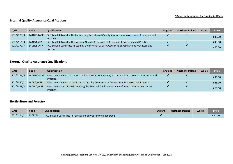#### **\*Denotes designated for funding in Wales**

#### **Internal Quality Assurance Qualifications**

| <b>QAN</b> | Code       | <b>Qualification</b>                                                                                      | <b>England</b> | <b>Northern Ireland</b> | <b>Wales</b> | <b>Price</b> |
|------------|------------|-----------------------------------------------------------------------------------------------------------|----------------|-------------------------|--------------|--------------|
| 501/2178/9 | L4AUIQAAPP | FAQ Level 4 Award in Understanding the Internal Quality Assurance of Assessment Processes and<br>Practice |                |                         |              | £35.00       |
| 501/2161/3 | L4AIQAAPP  | FAQ Level 4 Award in the Internal Quality Assurance of Assessment Processes and Practice                  |                |                         |              | £45.00       |
| 501/2177/7 | L4CLIQAAPP | FAQ Level 4 Certificate in Leading the Internal Quality Assurance of Assessment Processes and<br>Practice |                |                         |              | £60.00       |

#### **External Quality Assurance Qualifications**

| <b>QAN</b> | Code       | <b>Qualification</b>                                                                                      | <b>England</b> | <b>Northern Ireland</b> | <b>Wales</b> | <b>Price</b> |
|------------|------------|-----------------------------------------------------------------------------------------------------------|----------------|-------------------------|--------------|--------------|
| 501/2176/5 | L4AUEQAAPP | FAQ Level 4 Award in Understanding the External Quality Assurance of Assessment Processes and<br>Practice |                |                         |              | £35.00       |
| 501/1882/1 | L4AEQAAPP  | FAQ Level 4 Award in the External Quality Assurance of Assessment Processes and Practice                  |                |                         |              | £45.00       |
| 501/1883/3 | L4CLEQAAPP | FAQ Level 4 Certificate in Leading the External Quality Assurance of Assessment Processes and<br>Practice |                |                         |              | £60.00       |

#### **Horticulture and Forestry**

| <b>QAN</b> | Code    | <b>Qualification</b>                                          | <b>England</b> | <b>Northern Ireland</b> | <b>Wales</b> | Price  |
|------------|---------|---------------------------------------------------------------|----------------|-------------------------|--------------|--------|
| 601/4114/1 | L3CFSPL | FAQ Level 3 Certificate in Forest School Programme Leadership |                |                         |              | £50.00 |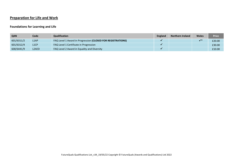# **Preparation for Life and Work**

## **Foundations for Learning and Life**

| <b>QAN</b> | Code               | <b>Qualification</b>                                        | England | <b>Northern Ireland</b> | <b>Wales</b> | <b>Price</b> |
|------------|--------------------|-------------------------------------------------------------|---------|-------------------------|--------------|--------------|
| 601/6311/2 | L <sub>1</sub> AP  | FAQ Level 1 Award in Progression (CLOSED FOR REGISTRATIONS) |         |                         |              | £20.00       |
| 601/6312/4 | L <sub>1</sub> CP  | FAQ Level 1 Certificate in Progression                      |         |                         |              | £30.00       |
| 600/6441/9 | L <sub>2</sub> AED | FAQ Level 2 Award in Equality and Diversity                 |         |                         |              | £10.00       |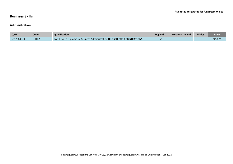## **Business Skills**

#### **Administration**

| <b>QAN</b> | Code         | <b>Qualification</b>                                                             | England | Northern Ireland | <b>Wales</b> | Price   |
|------------|--------------|----------------------------------------------------------------------------------|---------|------------------|--------------|---------|
| 601/3849/X | <b>L3DBA</b> | <b>FAQ Level 3 Diploma in Business Administration (CLOSED FOR REGISTRATIONS)</b> |         |                  |              | £120.00 |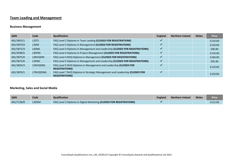# **Team Leading and Management**

#### **Business Management**

| <b>QAN</b> | Code               | <b>Qualification</b>                                                                               | <b>England</b> | <b>Northern Ireland</b> | <b>Wales</b> | <b>Price</b> |
|------------|--------------------|----------------------------------------------------------------------------------------------------|----------------|-------------------------|--------------|--------------|
| 601/3853/1 | L <sub>2</sub> DTL | FAQ Level 2 Diploma in Team Leading (CLOSED FOR REGISTRATIONS)                                     |                |                         |              | £110.00      |
| 601/3874/9 | L3DM               | FAQ Level 3 Diploma in Management (CLOSED FOR REGISTRATIONS)                                       |                |                         |              | £120.00      |
| 601/5872/4 | L4DML              | FAQ Level 4 Diploma in Management and Leadership (CLOSED FOR REGISTRATIONS)                        | √              |                         |              | £90.00       |
| 601/4598/5 | L4DPM              | FAQ Level 4 Diploma in Project Management (CLOSED FOR REGISTRATIONS)                               |                |                         |              | £110.00      |
| 601/3875/0 | L4NVQDM            | FAQ Level 4 NVQ Diploma in Management (CLOSED FOR REGISTRATIONS)                                   | J              |                         |              | £100.00      |
| 601/5873/6 | L5DML              | FAQ Level 5 Diploma in Management and Leadership (CLOSED FOR REGISTRATIONS)                        |                |                         |              | £95.00       |
| 601/3854/3 | L5NVQDML           | FAQ Level 5 NVQ Diploma in Management and Leadership (CLOSED FOR<br><b>REGISTRATIONS)</b>          |                |                         |              | £110.00      |
| 601/3870/1 | L7NVQDSML          | FAQ Level 7 NVQ Diploma in Strategic Management and Leadership (CLOSED FOR<br><b>REGISTRATIONS</b> | w              |                         |              | £120.00      |

#### **Marketing, Sales and Social Media**

| QAN        | Code  | <b>Qualification</b>                                                | <b>England</b> | <b>Northern Ireland</b> | <b>Wales</b> | <b>Price</b> |
|------------|-------|---------------------------------------------------------------------|----------------|-------------------------|--------------|--------------|
| 601/7138/8 | L3DDM | FAQ Level 3 Diploma in Digital Marketing (CLOSED FOR REGISTRATIONS) |                |                         |              | £115.00      |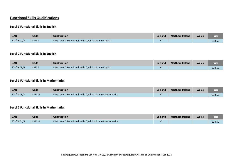# **Functional Skills Qualifications**

#### **Level 1 Functional Skills in English**

| QAN        | Code         | Qualification                                                 | <b>England</b> | <b>Northern Ireland</b> | <b>Wales</b> | Price  |
|------------|--------------|---------------------------------------------------------------|----------------|-------------------------|--------------|--------|
| 603/4602/4 | <b>L1FSE</b> | <b>FAQ Level 1 Functional Skills Qualification in English</b> |                |                         |              | £18.50 |

#### **Level 2 Functional Skills in English**

| <b>QAN</b> | Code         | Qualification                                          | <b>England</b> | Northern Ireland | <b>Wales</b> | Price  |
|------------|--------------|--------------------------------------------------------|----------------|------------------|--------------|--------|
| 603/4603/6 | <b>L2FSE</b> | FAQ Level 2 Functional Skills Qualification in English |                |                  |              | £18.50 |

## **Level 1 Functional Skills in Mathematics**

| <b>QAN</b> | Code  | <b>Qualification</b>                                       | England | Northern Ireland | <b>Wales</b> | <b>Price</b> |
|------------|-------|------------------------------------------------------------|---------|------------------|--------------|--------------|
| 603/4803/3 | L1FSM | FAQ Level 1 Functional Skills Qualification in Mathematics |         |                  |              | £18.50       |

#### **Level 2 Functional Skills in Mathematics**

| <b>QAN</b> | Code  | <b>Qualification</b>                                              | <b>England</b> | <b>Northern Ireland</b> | <b>Wales</b> | Price  |
|------------|-------|-------------------------------------------------------------------|----------------|-------------------------|--------------|--------|
| 603/4804/5 | L2FSM | <b>FAQ Level 2 Functional Skills Qualification in Mathematics</b> |                |                         |              | £18.50 |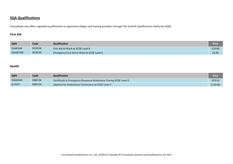## **SQA Qualifications**

FutureQuals also offers regulated qualifications to approved colleges and training providers through The Scottish Qualifications Authority (SQA).

## **First Aid**

| QAN      | Code   | Qualification                               | Price  |
|----------|--------|---------------------------------------------|--------|
| SL6AFAW  | R53904 | First Aid At Work at SCQF Level 6           | £10.00 |
| SL6AEFAW | R53804 | Emergency First Aid at Work at SCQF Level 6 | £5.00  |

#### **Health**

| QAN     | Code   | Qualification                                                    | Price   |
|---------|--------|------------------------------------------------------------------|---------|
| SQAERAD | R48204 | Certificate in Emergency Response Ambulance Driving SCQF Level 6 | £59.50  |
| SL7DAT  | R48304 | Diploma for Ambulance Technicians at SCQF Level 7                | £120.00 |